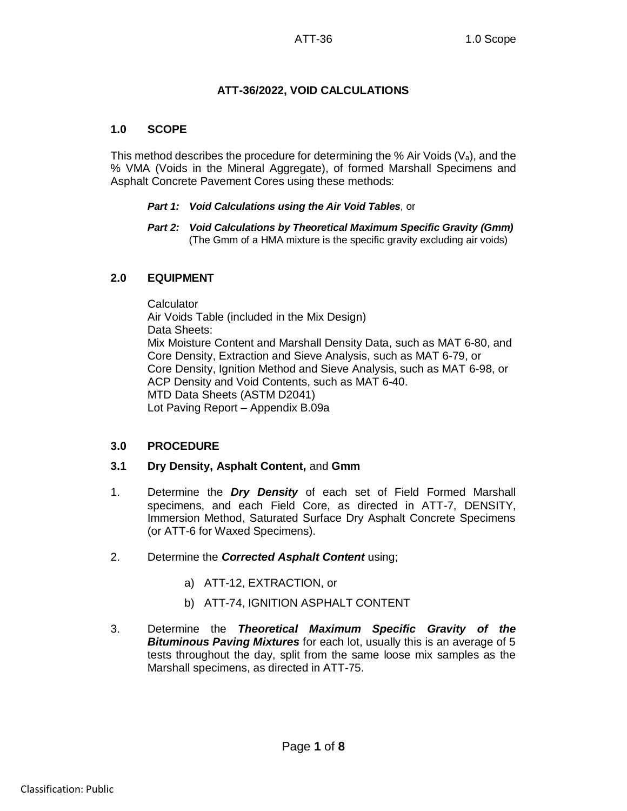## **ATT-36/2022, VOID CALCULATIONS**

## **1.0 SCOPE**

This method describes the procedure for determining the % Air Voids  $(V_a)$ , and the % VMA (Voids in the Mineral Aggregate), of formed Marshall Specimens and Asphalt Concrete Pavement Cores using these methods:

#### *Part 1: Void Calculations using the Air Void Tables*, or

*Part 2: Void Calculations by Theoretical Maximum Specific Gravity (Gmm)* (The Gmm of a HMA mixture is the specific gravity excluding air voids)

## **2.0 EQUIPMENT**

**Calculator** Air Voids Table (included in the Mix Design) Data Sheets: Mix Moisture Content and Marshall Density Data, such as MAT 6-80, and Core Density, Extraction and Sieve Analysis, such as MAT 6-79, or Core Density, Ignition Method and Sieve Analysis, such as MAT 6-98, or ACP Density and Void Contents, such as MAT 6-40. MTD Data Sheets (ASTM D2041) Lot Paving Report – Appendix B.09a

#### **3.0 PROCEDURE**

#### **3.1 Dry Density, Asphalt Content,** and **Gmm**

- 1. Determine the *Dry Density* of each set of Field Formed Marshall specimens, and each Field Core, as directed in ATT-7, DENSITY, Immersion Method, Saturated Surface Dry Asphalt Concrete Specimens (or ATT-6 for Waxed Specimens).
- 2. Determine the *Corrected Asphalt Content* using;
	- a) ATT-12, EXTRACTION, or
	- b) ATT-74, IGNITION ASPHALT CONTENT
- 3. Determine the *Theoretical Maximum Specific Gravity of the Bituminous Paving Mixtures* for each lot, usually this is an average of 5 tests throughout the day, split from the same loose mix samples as the Marshall specimens, as directed in ATT-75.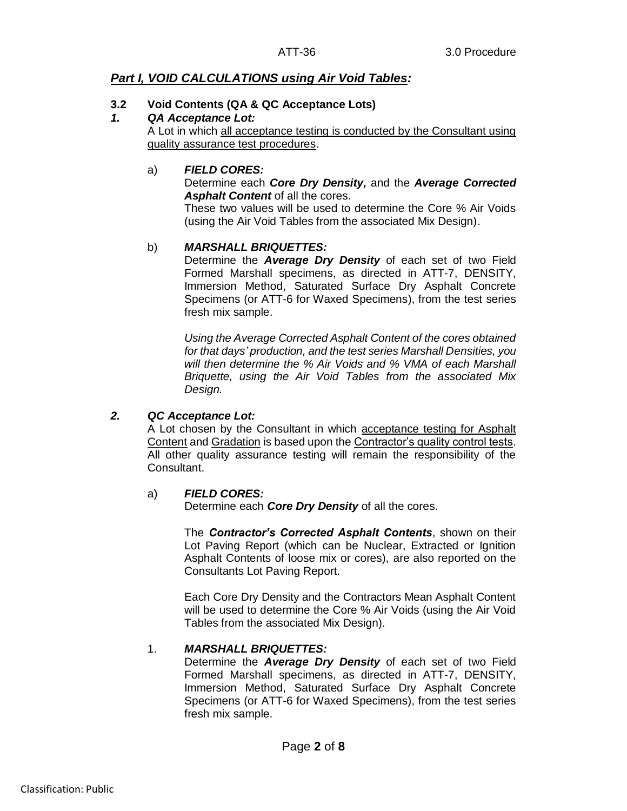## *Part I, VOID CALCULATIONS using Air Void Tables:*

#### **3.2 Void Contents (QA & QC Acceptance Lots)**

#### *1. QA Acceptance Lot:*

A Lot in which all acceptance testing is conducted by the Consultant using quality assurance test procedures.

#### a) *FIELD CORES:*

Determine each *Core Dry Density,* and the *Average Corrected Asphalt Content* of all the cores.

These two values will be used to determine the Core % Air Voids (using the Air Void Tables from the associated Mix Design).

## b) *MARSHALL BRIQUETTES:*

Determine the *Average Dry Density* of each set of two Field Formed Marshall specimens, as directed in ATT-7, DENSITY, Immersion Method, Saturated Surface Dry Asphalt Concrete Specimens (or ATT-6 for Waxed Specimens), from the test series fresh mix sample.

*Using the Average Corrected Asphalt Content of the cores obtained for that days' production, and the test series Marshall Densities, you will then determine the % Air Voids and % VMA of each Marshall Briquette, using the Air Void Tables from the associated Mix Design.*

#### *2. QC Acceptance Lot:*

A Lot chosen by the Consultant in which acceptance testing for Asphalt Content and Gradation is based upon the Contractor's quality control tests. All other quality assurance testing will remain the responsibility of the Consultant.

#### a) *FIELD CORES:*

Determine each *Core Dry Density* of all the cores.

The *Contractor's Corrected Asphalt Contents*, shown on their Lot Paving Report (which can be Nuclear, Extracted or Ignition Asphalt Contents of loose mix or cores), are also reported on the Consultants Lot Paving Report.

Each Core Dry Density and the Contractors Mean Asphalt Content will be used to determine the Core % Air Voids (using the Air Void Tables from the associated Mix Design).

#### 1. *MARSHALL BRIQUETTES:*

Determine the *Average Dry Density* of each set of two Field Formed Marshall specimens, as directed in ATT-7, DENSITY, Immersion Method, Saturated Surface Dry Asphalt Concrete Specimens (or ATT-6 for Waxed Specimens), from the test series fresh mix sample.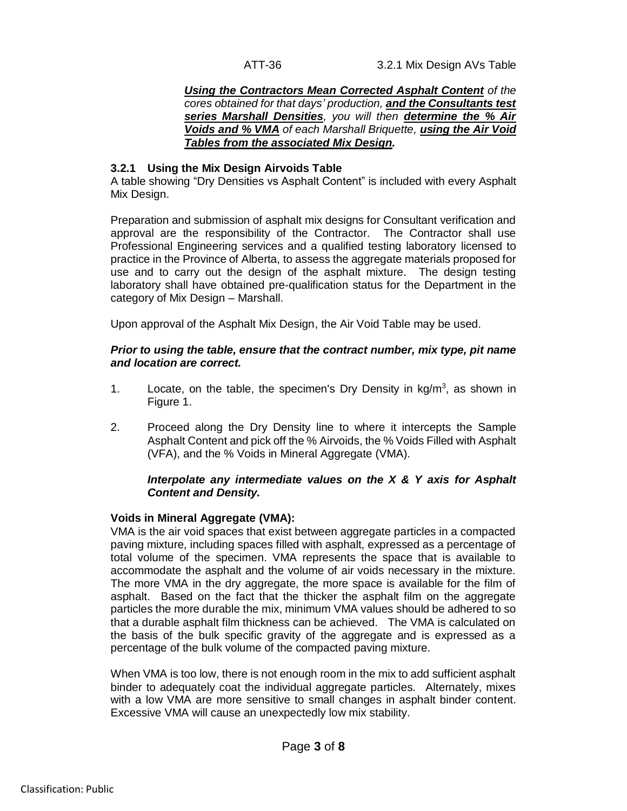*Using the Contractors Mean Corrected Asphalt Content of the cores obtained for that days' production, and the Consultants test series Marshall Densities, you will then determine the % Air Voids and % VMA of each Marshall Briquette, using the Air Void Tables from the associated Mix Design.*

#### **3.2.1 Using the Mix Design Airvoids Table**

A table showing "Dry Densities vs Asphalt Content" is included with every Asphalt Mix Design.

Preparation and submission of asphalt mix designs for Consultant verification and approval are the responsibility of the Contractor. The Contractor shall use Professional Engineering services and a qualified testing laboratory licensed to practice in the Province of Alberta, to assess the aggregate materials proposed for use and to carry out the design of the asphalt mixture. The design testing laboratory shall have obtained pre-qualification status for the Department in the category of Mix Design – Marshall.

Upon approval of the Asphalt Mix Design, the Air Void Table may be used.

#### *Prior to using the table, ensure that the contract number, mix type, pit name and location are correct.*

- 1. Locate, on the table, the specimen's Dry Density in  $kg/m<sup>3</sup>$ , as shown in Figure 1.
- 2. Proceed along the Dry Density line to where it intercepts the Sample Asphalt Content and pick off the % Airvoids, the % Voids Filled with Asphalt (VFA), and the % Voids in Mineral Aggregate (VMA).

#### *Interpolate any intermediate values on the X & Y axis for Asphalt Content and Density.*

#### **Voids in Mineral Aggregate (VMA):**

VMA is the air void spaces that exist between aggregate particles in a compacted paving mixture, including spaces filled with asphalt, expressed as a percentage of total volume of the specimen. VMA represents the space that is available to accommodate the asphalt and the volume of air voids necessary in the mixture. The more VMA in the dry aggregate, the more space is available for the film of asphalt. Based on the fact that the thicker the asphalt film on the aggregate particles the more durable the mix, minimum VMA values should be adhered to so that a durable asphalt film thickness can be achieved. The VMA is calculated on the basis of the bulk specific gravity of the aggregate and is expressed as a percentage of the bulk volume of the compacted paving mixture.

When VMA is too low, there is not enough room in the mix to add sufficient asphalt binder to adequately coat the individual aggregate particles. Alternately, mixes with a low VMA are more sensitive to small changes in asphalt binder content. Excessive VMA will cause an unexpectedly low mix stability.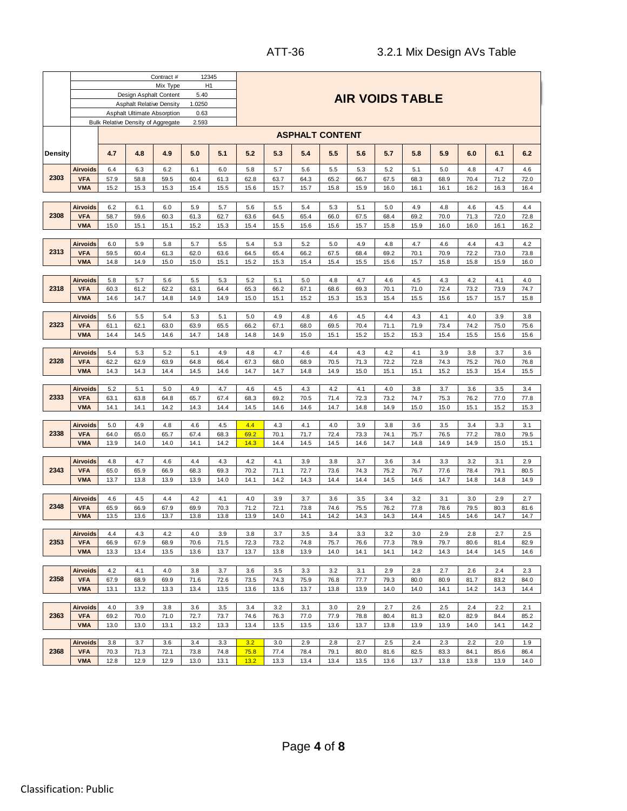|                                      |                          |             |                                    | Contract #  | 12345          |             |              |              |                        |             |                        |             |             |             |              |             |             |
|--------------------------------------|--------------------------|-------------|------------------------------------|-------------|----------------|-------------|--------------|--------------|------------------------|-------------|------------------------|-------------|-------------|-------------|--------------|-------------|-------------|
|                                      |                          |             |                                    | Mix Type    | H <sub>1</sub> |             |              |              |                        |             |                        |             |             |             |              |             |             |
|                                      |                          |             | Design Asphalt Content             |             | 5.40           |             |              |              |                        |             | <b>AIR VOIDS TABLE</b> |             |             |             |              |             |             |
|                                      |                          |             | <b>Asphalt Relative Density</b>    |             | 1.0250         |             |              |              |                        |             |                        |             |             |             |              |             |             |
|                                      |                          |             | Asphalt Ultimate Absorption        |             | 0.63           |             |              |              |                        |             |                        |             |             |             |              |             |             |
|                                      |                          |             | Bulk Relative Density of Aggregate |             | 2.593          |             |              |              |                        |             |                        |             |             |             |              |             |             |
|                                      |                          |             |                                    |             |                |             |              |              | <b>ASPHALT CONTENT</b> |             |                        |             |             |             |              |             |             |
|                                      |                          |             |                                    |             |                |             |              |              |                        |             |                        |             |             |             |              |             |             |
| Density                              |                          | 4.7         | 4.8                                | 4.9         | 5.0            | 5.1         | 5.2          | 5.3          | 5.4                    | 5.5         | 5.6                    | 5.7         | 5.8         | 5.9         | 6.0          | 6.1         | 6.2         |
|                                      | <b>Airvoids</b>          | 6.4         | 6.3                                | 6.2         | 6.1            | 6.0         | 5.8          | 5.7          | 5.6                    | 5.5         | 5.3                    | 5.2         | 5.1         | 5.0         | 4.8          | 4.7         | 4.6         |
| 2303                                 | <b>VFA</b>               | 57.9        | 58.8                               | 59.5        | 60.4           | 61.3        | 62.8         | 63.7         | 64.3                   | 65.2        | 66.7                   | 67.5        | 68.3        | 68.9        | 70.4         | 71.2        | 72.0        |
|                                      | <b>VMA</b>               | 15.2        | 15.3                               | 15.3        | 15.4           | 15.5        | 15.6         | 15.7         | 15.7                   | 15.8        | 15.9                   | 16.0        | 16.1        | 16.1        | 16.2         | 16.3        | 16.4        |
|                                      |                          |             |                                    |             |                |             |              |              |                        |             |                        |             |             |             |              |             |             |
|                                      | <b>Airvoids</b>          | 6.2         | 6.1                                | 6.0         | 5.9            | 5.7         | 5.6          | 5.5          | 5.4                    | 5.3         | 5.1                    | 5.0         | 4.9         | 4.8         | 4.6          | 4.5         | 4.4         |
| 2308<br>2313<br>2318<br>2323<br>2328 | <b>VFA</b>               | 58.7        | 59.6                               | 60.3        | 61.3           | 62.7        | 63.6         | 64.5         | 65.4                   | 66.0        | 67.5                   | 68.4        | 69.2        | 70.0        | 71.3         | 72.0        | 72.8        |
|                                      | <b>VMA</b>               | 15.0        | 15.1                               | 15.1        | 15.2           | 15.3        | 15.4         | 15.5         | 15.6                   | 15.6        | 15.7                   | 15.8        | 15.9        | 16.0        | 16.0         | 16.1        | 16.2        |
|                                      |                          |             |                                    |             |                |             |              |              |                        |             |                        |             |             |             |              |             |             |
|                                      | <b>Airvoids</b>          | 6.0         | 5.9                                | 5.8         | 5.7            | 5.5         | 5.4          | 5.3          | 5.2                    | 5.0         | 4.9                    | 4.8         | 4.7         | 4.6         | 4.4          | 4.3         | 4.2         |
|                                      | <b>VFA</b>               | 59.5        | 60.4                               | 61.3        | 62.0           | 63.6        | 64.5         | 65.4         | 66.2                   | 67.5        | 68.4                   | 69.2        | 70.1        | 70.9        | 72.2         | 73.0        | 73.8        |
|                                      | <b>VMA</b>               | 14.8        | 14.9                               | 15.0        | 15.0           | 15.1        | 15.2         | 15.3         | 15.4                   | 15.4        | 15.5                   | 15.6        | 15.7        | 15.8        | 15.8         | 15.9        | 16.0        |
|                                      |                          |             |                                    |             |                |             |              |              |                        |             |                        |             |             |             |              |             |             |
|                                      | <b>Airvoids</b>          | 5.8         | 5.7                                | 5.6         | 5.5            | 5.3         | 5.2          | 5.1          | 5.0                    | 4.8         | 4.7                    | 4.6         | 4.5         | 4.3         | 4.2          | 4.1         | 4.0         |
|                                      | <b>VFA</b>               | 60.3        | 61.2                               | 62.2        | 63.1           | 64.4        | 65.3         | 66.2         | 67.1                   | 68.6        | 69.3                   | 70.1        | 71.0        | 72.4        | 73.2         | 73.9        | 74.7        |
|                                      | <b>VMA</b>               | 14.6        | 14.7                               | 14.8        | 14.9           | 14.9        | 15.0         | 15.1         | 15.2                   | 15.3        | 15.3                   | 15.4        | 15.5        | 15.6        | 15.7         | 15.7        | 15.8        |
|                                      | Airvoids                 | 5.6         | 5.5                                | 5.4         | 5.3            | 5.1         | 5.0          | 4.9          | 4.8                    | 4.6         | 4.5                    | 4.4         | 4.3         | 4.1         | 4.0          | 3.9         | 3.8         |
|                                      | <b>VFA</b>               | 61.1        | 62.1                               | 63.0        | 63.9           | 65.5        | 66.2         | 67.1         | 68.0                   | 69.5        | 70.4                   | 71.1        | 71.9        | 73.4        | 74.2         | 75.0        | 75.6        |
|                                      | <b>VMA</b>               | 14.4        | 14.5                               | 14.6        | 14.7           | 14.8        | 14.8         | 14.9         | 15.0                   | 15.1        | 15.2                   | 15.2        | 15.3        | 15.4        | 15.5         | 15.6        | 15.6        |
|                                      |                          |             |                                    |             |                |             |              |              |                        |             |                        |             |             |             |              |             |             |
|                                      | <b>Airvoids</b>          | 5.4         | 5.3                                | 5.2         | 5.1            | 4.9         | 4.8          | 4.7          | 4.6                    | 4.4         | 4.3                    | 4.2         | 4.1         | 3.9         | 3.8          | 3.7         | 3.6         |
|                                      | <b>VFA</b>               | 62.2        | 62.9                               | 63.9        | 64.8           | 66.4        | 67.3         | 68.0         | 68.9                   | 70.5        | 71.3                   | 72.2        | 72.8        | 74.3        | 75.2         | 76.0        | 76.8        |
|                                      | <b>VMA</b>               | 14.3        | 14.3                               | 14.4        | 14.5           | 14.6        | 14.7         | 14.7         | 14.8                   | 14.9        | 15.0                   | 15.1        | 15.1        | 15.2        | 15.3         | 15.4        | 15.5        |
|                                      |                          |             |                                    |             |                |             |              |              |                        |             |                        |             |             |             |              |             |             |
|                                      | <b>Airvoids</b>          | 5.2         | 5.1                                | 5.0         | 4.9            | 4.7         | 4.6          | 4.5          | 4.3                    | 4.2         | 4.1                    | 4.0         | 3.8         | 3.7         | 3.6          | 3.5         | 3.4         |
| 2333                                 | <b>VFA</b>               | 63.1        | 63.8                               | 64.8        | 65.7           | 67.4        | 68.3         | 69.2         | 70.5                   | 71.4        | 72.3                   | 73.2        | 74.7        | 75.3        | 76.2         | 77.0        | 77.8        |
|                                      | <b>VMA</b>               | 14.1        | 14.1                               | 14.2        | 14.3           | 14.4        | 14.5         | 14.6         | 14.6                   | 14.7        | 14.8                   | 14.9        | 15.0        | 15.0        | 15.1         | 15.2        | 15.3        |
|                                      |                          |             |                                    |             |                |             |              |              |                        |             |                        |             |             |             |              |             |             |
| 2338                                 | Airvoids<br><b>VFA</b>   | 5.0<br>64.0 | 4.9<br>65.0                        | 4.8<br>65.7 | 4.6<br>67.4    | 4.5<br>68.3 | 4.4<br>69.2  | 4.3<br>70.1  | 4.1<br>71.7            | 4.0<br>72.4 | 3.9<br>73.3            | 3.8<br>74.1 | 3.6<br>75.7 | 3.5<br>76.5 | 3.4<br>77.2  | 3.3<br>78.0 | 3.1<br>79.5 |
|                                      | <b>VMA</b>               | 13.9        | 14.0                               | 14.0        | 14.1           | 14.2        | 14.3         | 14.4         | 14.5                   | 14.5        | 14.6                   | 14.7        | 14.8        | 14.9        | 14.9         | 15.0        | 15.1        |
|                                      |                          |             |                                    |             |                |             |              |              |                        |             |                        |             |             |             |              |             |             |
|                                      | <b>Airvoids</b>          | 4.8         | 4.7                                | 4.6         | 4.4            | 4.3         | 4.2          | 4.1          | 3.9                    | 3.8         | 3.7                    | 3.6         | 3.4         | 3.3         | 3.2          | 3.1         | 2.9         |
| 2343                                 | <b>VFA</b>               | 65.0        | 65.9                               | 66.9        | 68.3           | 69.3        | 70.2         | 71.1         | 72.7                   | 73.6        | 74.3                   | 75.2        | 76.7        | 77.6        | 78.4         | 79.1        | 80.5        |
|                                      | <b>VMA</b>               | 13.7        | 13.8                               | 13.9        | 13.9           | 14.0        | 14.1         | 14.2         | 14.3                   | 14.4        | 14.4                   | 14.5        | 14.6        | 14.7        | 14.8         | 14.8        | 14.9        |
|                                      |                          |             |                                    |             |                |             |              |              |                        |             |                        |             |             |             |              |             |             |
|                                      | Airvoids                 | 4.6         | 4.5                                | 4.4         | 4.2            | 4.1         | 4.0          | 3.9          | 3.7                    | 3.6         | 3.5                    | 3.4         | 3.2         | 3.1         | 3.0          | 2.9         | 2.7         |
| 2348                                 | <b>VFA</b>               | 65.9        | 66.9                               | 67.9        | 69.9           | 70.3        | 71.2         | 72.1         | 73.8                   | 74.6        | 75.5                   | 76.2        | 77.8        | 78.6        | 79.5         | 80.3        | 81.6        |
|                                      | <b>VMA</b>               | 13.5        | 13.6                               | 13.7        | 13.8           | 13.8        | 13.9         | 14.0         | 14.1                   | 14.2        | 14.3                   | 14.3        | 14.4        | 14.5        | 14.6         | 14.7        | 14.7        |
|                                      |                          |             |                                    |             |                |             |              |              |                        |             |                        |             |             |             |              |             |             |
| 2353                                 | Airvoids                 | 4.4<br>66.9 | 4.3<br>67.9                        | 4.2<br>68.9 | 4.0<br>70.6    | 3.9         | 3.8          | 3.7          | 3.5<br>74.8            | 3.4<br>75.7 | 3.3                    | 3.2         | 3.0         | 2.9<br>79.7 | 2.8          | 2.7<br>81.4 | 2.5<br>82.9 |
|                                      | <b>VFA</b><br><b>VMA</b> | 13.3        |                                    |             |                | 71.5        | 72.3<br>13.7 | 73.2<br>13.8 | 13.9                   | 14.0        | 76.6                   | 77.3        | 78.9        |             | 80.6<br>14.4 | 14.5        | 14.6        |
|                                      |                          |             | 13.4                               | 13.5        | 13.6           | 13.7        |              |              |                        |             | 14.1                   | 14.1        | 14.2        | 14.3        |              |             |             |
|                                      | <b>Airvoids</b>          | 4.2         | 4.1                                | 4.0         | 3.8            | 3.7         | 3.6          | 3.5          | 3.3                    | 3.2         | 3.1                    | 2.9         | 2.8         | 2.7         | 2.6          | 2.4         | 2.3         |
| 2358                                 | <b>VFA</b>               | 67.9        | 68.9                               | 69.9        | 71.6           | 72.6        | 73.5         | 74.3         | 75.9                   | 76.8        | 77.7                   | 79.3        | 80.0        | 80.9        | 81.7         | 83.2        | 84.0        |
|                                      | <b>VMA</b>               | 13.1        | 13.2                               | 13.3        | 13.4           | 13.5        | 13.6         | 13.6         | 13.7                   | 13.8        | 13.9                   | 14.0        | 14.0        | 14.1        | 14.2         | 14.3        | 14.4        |
|                                      |                          |             |                                    |             |                |             |              |              |                        |             |                        |             |             |             |              |             |             |
|                                      | <b>Airvoids</b>          | 4.0         | 3.9                                | 3.8         | 3.6            | 3.5         | 3.4          | 3.2          | 3.1                    | 3.0         | 2.9                    | 2.7         | 2.6         | 2.5         | 2.4          | 2.2         | 2.1         |
| 2363                                 | <b>VFA</b>               | 69.2        | 70.0                               | 71.0        | 72.7           | 73.7        | 74.6         | 76.3         | 77.0                   | 77.9        | 78.8                   | 80.4        | 81.3        | 82.0        | 82.9         | 84.4        | 85.2        |
|                                      | <b>VMA</b>               | 13.0        | 13.0                               | 13.1        | 13.2           | 13.3        | 13.4         | 13.5         | 13.5                   | 13.6        | 13.7                   | 13.8        | 13.9        | 13.9        | 14.0         | 14.1        | 14.2        |
|                                      |                          |             |                                    |             |                |             |              |              |                        |             |                        |             |             |             |              |             |             |
|                                      | <b>Airvoids</b>          | 3.8         | 3.7                                | 3.6         | 3.4            | 3.3         | 3.2          | 3.0          | 2.9                    | 2.8         | 2.7                    | 2.5         | 2.4         | 2.3         | 2.2          | 2.0         | 1.9         |
| 2368                                 | <b>VFA</b>               | 70.3        | 71.3                               | 72.1        | 73.8           | 74.8        | 75.8         | 77.4         | 78.4                   | 79.1        | 80.0                   | 81.6        | 82.5        | 83.3        | 84.1         | 85.6        | 86.4        |
|                                      | <b>VMA</b>               | 12.8        | 12.9                               | 12.9        | 13.0           | 13.1        | 13.2         | 13.3         | 13.4                   | 13.4        | 13.5                   | 13.6        | 13.7        | 13.8        | 13.8         | 13.9        | 14.0        |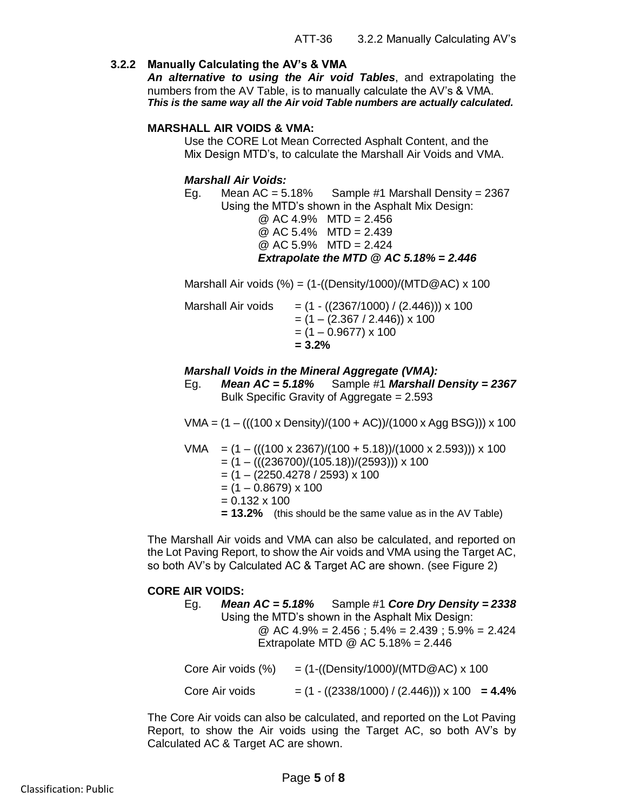#### **3.2.2 Manually Calculating the AV's & VMA**

*An alternative to using the Air void Tables*, and extrapolating the numbers from the AV Table, is to manually calculate the AV's & VMA. *This is the same way all the Air void Table numbers are actually calculated.*

#### **MARSHALL AIR VOIDS & VMA:**

Use the CORE Lot Mean Corrected Asphalt Content, and the Mix Design MTD's, to calculate the Marshall Air Voids and VMA.

#### *Marshall Air Voids:*

Eg. Mean AC =  $5.18\%$  Sample #1 Marshall Density = 2367 Using the MTD's shown in the Asphalt Mix Design:

@ AC 4.9% MTD = 2.456 @ AC 5.4% MTD = 2.439

 $@$  AC 5.9% MTD = 2.424

*Extrapolate the MTD @ AC 5.18% = 2.446*

Marshall Air voids  $%$  = (1-((Density/1000)/(MTD@AC) x 100

| Marshall Air voids | $= (1 - ((2367/1000) / (2.446))) \times 100$<br>$= (1 - (2.367 / 2.446)) \times 100$<br>$= (1 - 0.9677) \times 100$<br>$= 3.2\%$ |
|--------------------|----------------------------------------------------------------------------------------------------------------------------------|
|                    |                                                                                                                                  |

#### *Marshall Voids in the Mineral Aggregate (VMA):*

Eg. *Mean AC = 5.18%* Sample #1 *Marshall Density = 2367* Bulk Specific Gravity of Aggregate = 2.593

VMA =  $(1 - (((100 \times Density)/(100 + AC))/(1000 \times Agg BSG))) \times 100$ 

VMA = 
$$
(1 - (((100 \times 2367)/(100 + 5.18))/(1000 \times 2.593))) \times 100
$$

\n=  $(1 - (((236700)/(105.18))/(2593))) \times 100$ 

\n=  $(1 - (2250.4278 / 2593) \times 100)$ 

\n=  $(1 - 0.8679) \times 100$ 

\n=  $0.132 \times 100$ 

\n= **13.2%** (this should be the same value as in the AV Table)

The Marshall Air voids and VMA can also be calculated, and reported on the Lot Paving Report, to show the Air voids and VMA using the Target AC, so both AV's by Calculated AC & Target AC are shown. (see Figure 2)

#### **CORE AIR VOIDS:**

| <b>Mean AC</b> = $5.18\%$ Sample #1 Core Dry Density = $2338$<br>Eg.<br>Using the MTD's shown in the Asphalt Mix Design:<br>@ AC $4.9\% = 2.456$ ; $5.4\% = 2.439$ ; $5.9\% = 2.424$<br>Extrapolate MTD @ AC $5.18\% = 2.446$ |                    |  |  |                                                                        |  |  |  |  |  |  |
|-------------------------------------------------------------------------------------------------------------------------------------------------------------------------------------------------------------------------------|--------------------|--|--|------------------------------------------------------------------------|--|--|--|--|--|--|
|                                                                                                                                                                                                                               | Core Air voids (%) |  |  | $= (1-(\text{Density}/1000)/(\text{MTD} \textcircled{A}C) \times 100)$ |  |  |  |  |  |  |
|                                                                                                                                                                                                                               | Core Air voids     |  |  | $=$ (1 - ((2338/1000) / (2.446))) x 100 = 4.4%                         |  |  |  |  |  |  |

The Core Air voids can also be calculated, and reported on the Lot Paving Report, to show the Air voids using the Target AC, so both AV's by Calculated AC & Target AC are shown.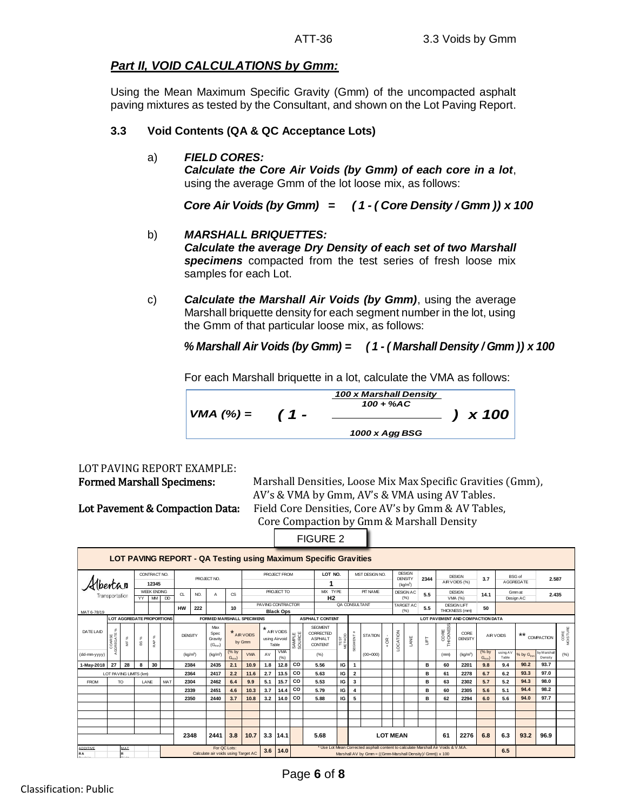## *Part II, VOID CALCULATIONS by Gmm:*

Using the Mean Maximum Specific Gravity (Gmm) of the uncompacted asphalt paving mixtures as tested by the Consultant, and shown on the Lot Paving Report.

#### **3.3 Void Contents (QA & QC Acceptance Lots)**

a) *FIELD CORES:*

*Calculate the Core Air Voids (by Gmm) of each core in a lot*, using the average Gmm of the lot loose mix, as follows:

- b) *MARSHALL BRIQUETTES: Calculate the average Dry Density of each set of two Marshall specimens* compacted from the test series of fresh loose mix samples for each Lot. *Core Air Voids (by Gmm)* = (1 - ( *Core Density / Gmm )) x 100*<br> *MARSHALL BRIQUETTES:*<br> *Calculate the average Dry Density of each set of two Marshall*<br> *specimens* compacted from the test series of fresh loose mix<br> *Sa*
- c) *Calculate the Marshall Air Voids (by Gmm)*, using the average Marshall briquette density for each segment number in the lot, using the Gmm of that particular loose mix, as follows:

For each Marshall briquette in a lot, calculate the VMA as follows:

$$
VMA (%) = \t(1 - \tfrac{100 \times \text{Marshall Density}}{1000 \times \text{Agg BSG}}) \times 100
$$

# LOT PAVING REPORT EXAMPLE:

Formed Marshall Specimens: Marshall Densities, Loose Mix Max Specific Gravities (Gmm), AV's & VMA by Gmm, AV's & VMA using AV Tables. Lot Pavement & Compaction Data: Field Core Densities, Core AV's by Gmm & AV Tables, Core Compaction by Gmm & Marshall Density

FIGURE 2

|                                                                                                 |                                                                        |                                        |                                  |                      |             |                                                        |     |                                       |                                                                                                                                                       |            |                     |                                       |                                                                 | <b>FIGURE 2</b>                       |         |                         |                                                         |                          |      |                                                            |                   |                                     |                      |                                   |                    |                                       |                       |      |
|-------------------------------------------------------------------------------------------------|------------------------------------------------------------------------|----------------------------------------|----------------------------------|----------------------|-------------|--------------------------------------------------------|-----|---------------------------------------|-------------------------------------------------------------------------------------------------------------------------------------------------------|------------|---------------------|---------------------------------------|-----------------------------------------------------------------|---------------------------------------|---------|-------------------------|---------------------------------------------------------|--------------------------|------|------------------------------------------------------------|-------------------|-------------------------------------|----------------------|-----------------------------------|--------------------|---------------------------------------|-----------------------|------|
|                                                                                                 | <b>LOT PAVING REPORT - QA Testing using Maximum Specific Gravities</b> |                                        |                                  |                      |             |                                                        |     |                                       |                                                                                                                                                       |            |                     |                                       |                                                                 |                                       |         |                         |                                                         |                          |      |                                                            |                   |                                     |                      |                                   |                    |                                       |                       |      |
| <i><b>bertan</b></i><br>Transportation                                                          |                                                                        |                                        | CONTRACT NO.<br>12345            |                      | PROJECT NO. |                                                        |     |                                       |                                                                                                                                                       |            | <b>PROJECT FROM</b> |                                       |                                                                 | LOT NO.<br>MIX TYPE<br>H <sub>2</sub> |         | MST DESIGN NO.          | <b>DESIGN</b><br><b>DENSITY</b><br>(kq/m <sup>3</sup> ) |                          | 2344 | <b>DESIGN</b><br>AIR VOIDS (%)<br><b>DESIGN</b><br>VMA (%) |                   | 3.7                                 |                      | <b>BSG</b> of<br><b>AGGREGATE</b> | 2.587              |                                       |                       |      |
|                                                                                                 |                                                                        | <b>WEEK ENDING</b><br><b>MM</b><br>YY. |                                  | <b>DD</b>            | CL          | NO.                                                    | A   | CS.                                   |                                                                                                                                                       | PROJECT TO |                     |                                       |                                                                 |                                       |         | PIT NAME                |                                                         | <b>DESIGN AC</b><br>(% ) |      |                                                            |                   | 5.5                                 | 14.1                 |                                   | Gmmat<br>Design AC | 2.435                                 |                       |      |
| MAT 6-78/19                                                                                     |                                                                        |                                        |                                  |                      |             | <b>HW</b>                                              | 222 |                                       | 10                                                                                                                                                    |            |                     | PAVING CONTRACTOR<br><b>Black Ops</b> |                                                                 |                                       |         | QA CONSULTANT           |                                                         |                          |      | <b>TARGET AC</b><br>(%)                                    | 5.5               | DESIGN LIFT<br>50<br>THICKNESS (mm) |                      |                                   |                    |                                       |                       |      |
|                                                                                                 |                                                                        |                                        | <b>LOT AGGREGATE PROPORTIONS</b> |                      |             | <b>FORMED MARSHALL SPECIMENS</b>                       |     |                                       |                                                                                                                                                       |            |                     |                                       | <b>ASPHALT CONTENT</b><br>LOT PAVEMENT AND COMPACTION DATA      |                                       |         |                         |                                                         |                          |      |                                                            |                   |                                     |                      |                                   |                    |                                       |                       |      |
| DATE LAID                                                                                       | ್ಲಿ<br>COARSE<br>AGGREGATE                                             | $\mathcal{S}$<br>¥                     | $\mathcal{R}$<br>$^{22}$         | $\mathcal{S}$<br>RAP |             | Max<br>Spec<br><b>DENSITY</b><br>Gravity<br>$(G_{mm})$ |     |                                       | $\star$<br>AIR VOIDS<br>AIR VOIDS<br>using Airvoid<br>Table<br>35<br>38<br>AIR VOIDS<br>by Gmm                                                        |            |                     |                                       | <b>SEGMENT</b><br>CORRECTED<br><b>ASPHALT</b><br><b>CONTENT</b> | TEST<br>METHOD                        | SEGMENT | <b>STATION</b>          | $\mathfrak{E}$<br>$\pm$                                 | LOCATION                 | LANE | ET                                                         | CORE<br>THICKNESS | CORE<br><b>DENSITY</b>              |                      | $***$<br>AIR VOIDS                |                    | CORE<br>MOISTURE<br><b>COMPACTION</b> |                       |      |
| (dd-mm-yyyy)                                                                                    |                                                                        |                                        |                                  |                      |             | (kq/m <sup>3</sup> )                                   |     | $(kq/m^3)$                            | (% by<br>$G_{mm}$                                                                                                                                     | <b>VMA</b> | AV                  | <b>VMA</b><br>(% )                    |                                                                 | (% )                                  |         |                         | $(00+000)$                                              |                          |      |                                                            |                   | (mm)                                | (kg/m <sup>3</sup> ) | (% by<br>$G_{mm}$ )               | using AV<br>Table  | % by $G_{\text{max}}$                 | by Marshal<br>Density | (% ) |
| 1-May-2018                                                                                      | 27                                                                     | 28                                     | 8                                | 30                   |             | 2384                                                   |     | 2435                                  | 2.1                                                                                                                                                   | 10.9       | 1.8                 | 12.8                                  | CO                                                              | 5.56                                  | IG      | 1                       |                                                         |                          |      |                                                            | в                 | 60                                  | 2201                 | 9.8                               | 9.4                | 90.2                                  | 93.7                  |      |
|                                                                                                 |                                                                        |                                        | LOT PAVING LIMITS (km)           |                      |             | 2364                                                   |     | 2417                                  | 2.2                                                                                                                                                   | 11.6       | 2.7                 | 13.5                                  | CO                                                              | 5.63                                  | IG      | $\overline{\mathbf{2}}$ |                                                         |                          |      |                                                            | в                 | 61                                  | 2278                 | 6.7                               | 6.2                | 93.3                                  | 97.0                  |      |
| <b>FROM</b>                                                                                     |                                                                        | TO                                     |                                  | MAT<br>LANE          |             | 2304                                                   |     | 2462                                  | 6.4                                                                                                                                                   | 9.9        | 5.1                 | 15.7                                  | CO                                                              | 5.53                                  | IG      | 3                       |                                                         |                          |      |                                                            | в                 | 63                                  | 2302                 | 5.7                               | 5.2                | 94.3                                  | 98.0                  |      |
|                                                                                                 |                                                                        |                                        |                                  |                      |             | 2339                                                   |     | 2451                                  | 4.6                                                                                                                                                   | 10.3       | 3.7                 | 14.4                                  | CO                                                              | 5.79                                  | IG      | 4                       |                                                         |                          |      |                                                            | в                 | 60                                  | 2305                 | 5.6                               | 5.1                | 94.4                                  | 98.2                  |      |
|                                                                                                 |                                                                        |                                        |                                  |                      |             | 2350                                                   |     | 2440                                  | 3.7                                                                                                                                                   | 10.8       | 3.2                 | 14.0                                  | CO                                                              | 5.88                                  | IG      | 5                       |                                                         |                          |      |                                                            | в                 | 62                                  | 2294                 | 6.0                               | 5.6                | 94.0                                  | 97.7                  |      |
|                                                                                                 |                                                                        |                                        |                                  |                      |             |                                                        |     |                                       |                                                                                                                                                       |            |                     |                                       |                                                                 |                                       |         |                         |                                                         |                          |      |                                                            |                   |                                     |                      |                                   |                    |                                       |                       |      |
|                                                                                                 |                                                                        |                                        |                                  |                      |             |                                                        |     |                                       |                                                                                                                                                       |            |                     |                                       |                                                                 |                                       |         |                         |                                                         |                          |      |                                                            |                   |                                     |                      |                                   |                    |                                       |                       |      |
|                                                                                                 |                                                                        |                                        |                                  |                      |             |                                                        |     |                                       |                                                                                                                                                       |            |                     |                                       |                                                                 |                                       |         |                         |                                                         |                          |      |                                                            |                   |                                     |                      |                                   |                    |                                       |                       |      |
| 3.8<br>3.3<br>2348<br>2441<br>10.7                                                              |                                                                        |                                        |                                  |                      |             | 14.1                                                   |     | <b>LOT MEAN</b><br>5.68<br>61<br>2276 |                                                                                                                                                       |            |                     |                                       |                                                                 | 6.8                                   | 6.3     | 93.2                    | 96.9                                                    |                          |      |                                                            |                   |                                     |                      |                                   |                    |                                       |                       |      |
| For QC Lots:<br>ADDITIVE<br>MAT<br>3.6<br><b>RA</b><br>Calculate air voids using Target AC<br>P |                                                                        |                                        |                                  |                      |             |                                                        |     | 14.0                                  | * Use Lot Mean Corrected asphalt content to calculate Marshall Air Voids & V.M.A.<br>6.5<br>Marshall AV by Gmm = ((Gmm-Marshall Density)/ Gmm)) x 100 |            |                     |                                       |                                                                 |                                       |         |                         |                                                         |                          |      |                                                            |                   |                                     |                      |                                   |                    |                                       |                       |      |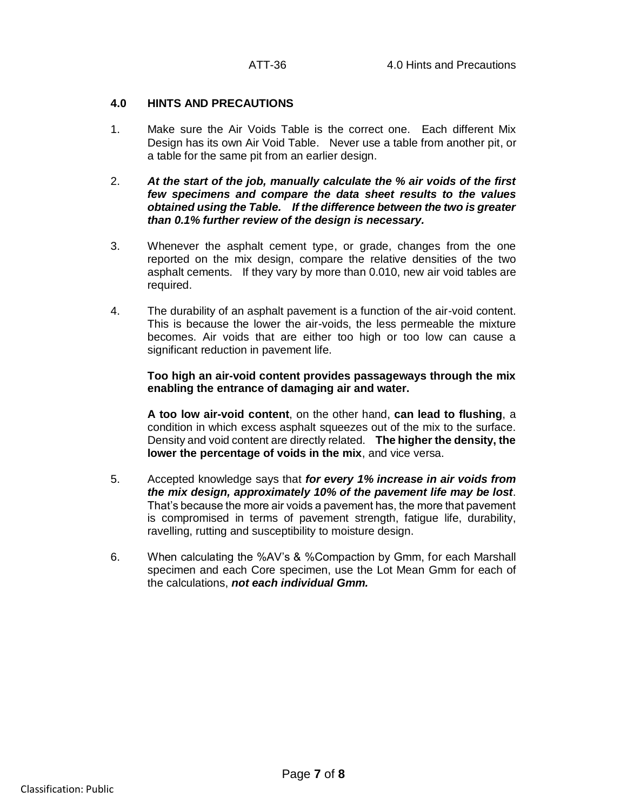#### **4.0 HINTS AND PRECAUTIONS**

- 1. Make sure the Air Voids Table is the correct one. Each different Mix Design has its own Air Void Table. Never use a table from another pit, or a table for the same pit from an earlier design.
- 2. *At the start of the job, manually calculate the % air voids of the first few specimens and compare the data sheet results to the values obtained using the Table. If the difference between the two is greater than 0.1% further review of the design is necessary.*
- 3. Whenever the asphalt cement type, or grade, changes from the one reported on the mix design, compare the relative densities of the two asphalt cements. If they vary by more than 0.010, new air void tables are required.
- 4. The durability of an asphalt pavement is a function of the air-void content. This is because the lower the air-voids, the less permeable the mixture becomes. Air voids that are either too high or too low can cause a significant reduction in pavement life.

**Too high an air-void content provides passageways through the mix enabling the entrance of damaging air and water.**

**A too low air-void content**, on the other hand, **can lead to flushing**, a condition in which excess asphalt squeezes out of the mix to the surface. Density and void content are directly related. **The higher the density, the lower the percentage of voids in the mix**, and vice versa.

- 5. Accepted knowledge says that *for every 1% increase in air voids from the mix design, approximately 10% of the pavement life may be lost*. That's because the more air voids a pavement has, the more that pavement is compromised in terms of pavement strength, fatigue life, durability, ravelling, rutting and susceptibility to moisture design.
- 6. When calculating the %AV's & %Compaction by Gmm, for each Marshall specimen and each Core specimen, use the Lot Mean Gmm for each of the calculations, *not each individual Gmm.*